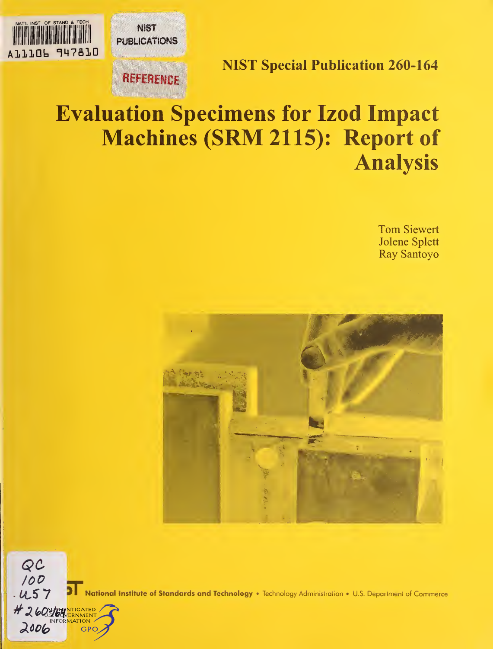NATL INST OF STAND & TECH **NIST PUBLICATIONS** AlllOb 147610

**REFERENCE** 

NIST Special Publication 260-164

# Evaluation Specimens for Izod Impact Machines (SRM 2115): Report of Analysis

Tom Siewert Jolene Splett Ray Santoyo





National Institute of Standards and Technology . Technology Administration . U.S. Department of Commerce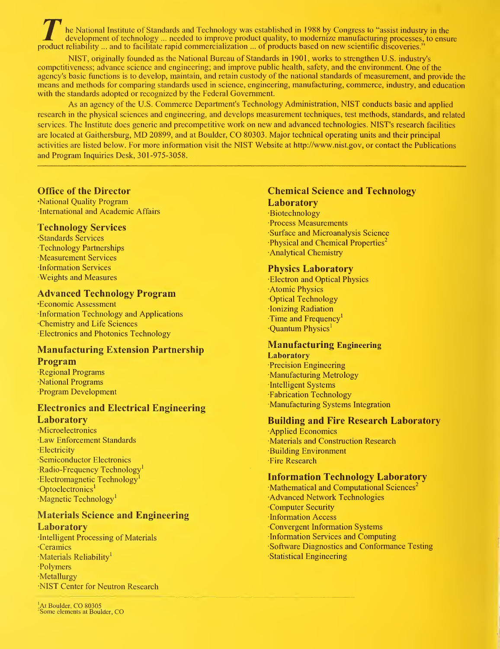he National Institute of Standards and Technology was established in 1988 by Congress to "assist industry in the development of technology ... needed to improve product quality, to modernize manufacturing processes, to ens product reliability ... and to facilitate rapid commercialization ... of products based on new scientific discoveries."

NIST, originally founded as the National Bureau of Standards in 1901, works to strengthen U.S. industry's competitiveness; advance science and engineering; and improve public health, safety, and the environment. One of the agency's basic functions is to develop, maintain, and retain custody of the national standards of measurement, and provide the means and methods for comparing standards used in science, engineering, manufacturing, commerce, industry, and education with the standards adopted or recognized by the Federal Government.

As an agency of the U.S. Commerce Department's Technology Administration, NIST conducts basic and applied research in the physical sciences and engineering, and develops measurement techniques, test methods, standards, and related services. The Institute does generic and precompetitive work on new and advanced technologies. NIST's research facilities are located at Gaithersburg, MD 20899, and at Boulder, CO 80303. Major technical operating units and their principal activities are listed below. For more information visit the NIST Website at http://www.nist.gov, or contact the Publications and Program Inquiries Desk, 301-975-3058.

### Office of the Director

•National Quality Program International and Academic Affairs

### Technology Services

•Standards Services •Technology Partnerships •Measurement Services •Information Services •Weights and Measures

# Advanced Technology Program

•Economic Assessment •Information Technology and Applications Chemistry and Life Sciences •Electronics and Photonics Technology

# Manufacturing Extension Partnership Program

•Regional Programs National Programs •Program Development

# Electronics and Electrical Engineering

### Laboratory

•Microelectronics •Law Enforcement Standards •Electricity •Semiconductor Electronics Radio-Frequency Technology<sup>1</sup> ·Electromagnetic Technology Optoelectronics<sup>1</sup> Magnetic Technology<sup>1</sup>

#### Materials Science and Engineering Laboratory

•Intelligent Processing of Materials Ceramics •Materials Reliability 1 •Polymers •Metallurgy •NIST Center for Neutron Research

### Chemical Science and Technology **Laboratory**

•Biotechnology •Process Measurements •Surface and Microanalysis Science •Physical and Chemical Properties 2 •Analytical Chemistry

### Physics Laboratory

•Electron and Optical Physics •Atomic Physics •Optical Technology •Ionizing Radiation Time and Frequency<sup>1</sup> •Quantum Physics'

### Manufacturing Engineering

**Laboratory** •Precision Engineering •Manufacturing Metrology •Intelligent Systems Fabrication Technology •Manufacturing Systems Integration

### Building and Fire Research Laboratory

•Applied Economics •Materials and Construction Research •Building Environment •Fire Research

# Information Technology Laboratory

Mathematical and Computational Sciences<sup>2</sup> •Advanced Network Technologies •Computer Security •Information Access •Convergent Information Systems •Information Services and Computing •Software Diagnostics and Conformance Testing •Statistical Engineering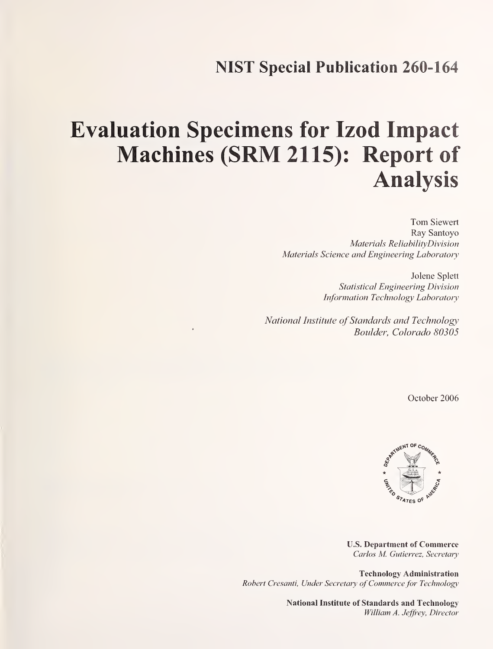# NIST Special Publication 260-164

# Evaluation Specimens for Izod Impact Machines (SRM 2115): Report of Analysis

Tom Siewert Ray Santoyo Materials ReliabilityDivision Materials Science and Engineering Laboratory

> Jolene Splett Statistical Engineering Division Information Technology Laboratory

National Institute of Standards and Technology Boulder, Colorado 80305

October 2006



U.S. Department of Commerce Carlos M. Gutierrez, Secretary

Technology Administration Robert Cresanti, Under Secretary of Commerce for Technology

> National Institute of Standards and Technology William A. Jeffrey, Director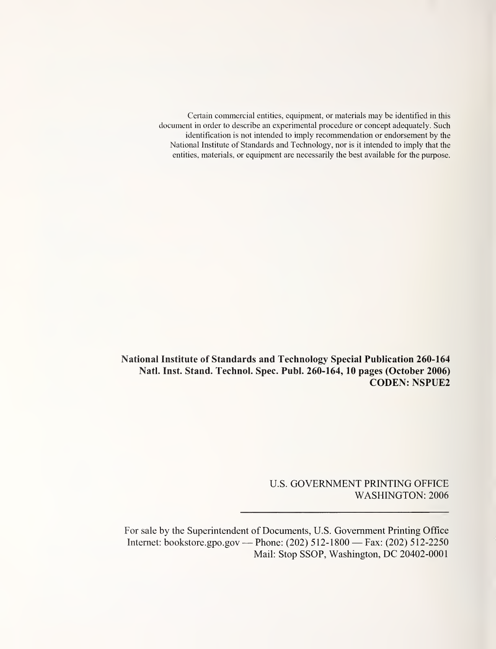Certain commercial entities, equipment, or materials may be identified in this document in order to describe an experimental procedure or concept adequately. Such identification is not intended to imply recommendation or endorsement by the National Institute of Standards and Technology, nor is it intended to imply that the entities, materials, or equipment are necessarily the best available for the purpose.

National Institute of Standards and Technology Special Publication 260-164 Natl. Inst. Stand. Technol. Spec. Publ. 260-164, 10 pages (October 2006) CODEN: NSPUE2

> U.S. GOVERNMENT PRINTING OFFICE WASHINGTON: 2006

For sale by the Superintendent of Documents, U.S. Government Printing Office Internet: bookstore.gpo.gov — Phone: (202) 512-1800 — Fax: (202) 512-2250 Mail: Stop SSOP, Washington, DC 20402-0001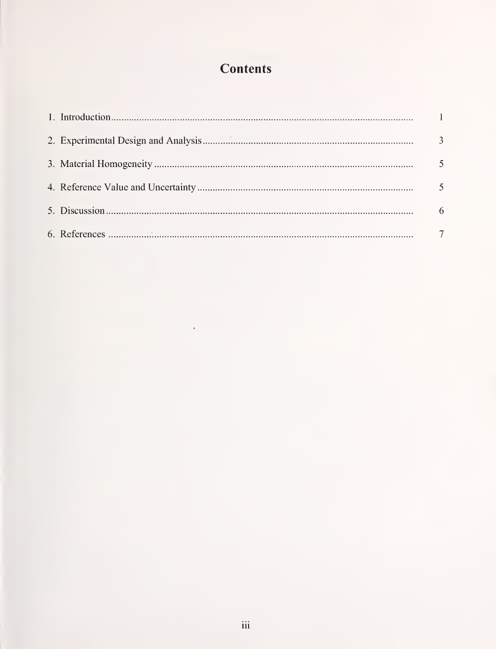# **Contents**

 $\bar{\gamma}$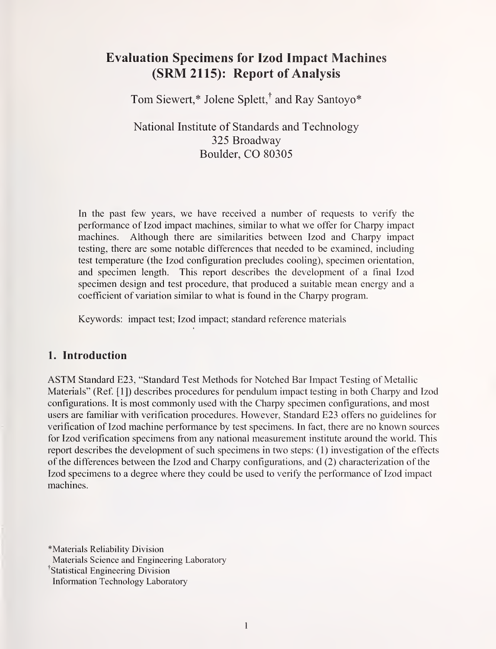# Evaluation Specimens for Izod Impact Machines (SRM2115): Report of Analysis

Tom Siewert,\* Jolene Splett,<sup>†</sup> and Ray Santoyo\*

National Institute of Standards and Technology 325 Broadway Boulder, CO 80305

In the past few years, we have received <sup>a</sup> number of requests to verify the performance of Izod impact machines, similar to what we offer for Charpy impact machines. Although there are similarities between Izod and Charpy impact testing, there are some notable differences that needed to be examined, including test temperature (the Izod configuration precludes cooling), specimen orientation, and specimen length. This report describes the development of a final Izod specimen design and test procedure, that produced a suitable mean energy and a coefficient of variation similar to what is found in the Charpy program.

Keywords: impact test; Izod impact; standard reference materials

# 1. Introduction

ASTM Standard E23, "Standard Test Methods for Notched Bar Impact Testing of Metallic Materials" (Ref. [1]) describes procedures for pendulum impact testing in both Charpy and Izod configurations. It is most commonly used with the Charpy specimen configurations, and most users are familiar with verification procedures. However, Standard E23 offers no guidelines for verification of Izod machine performance by test specimens. In fact, there are no known sources for Izod verification specimens from any national measurement institute around the world. This report describes the development of such specimens in two steps: (1) investigation of the effects of the differences between the Izod and Charpy configurations, and (2) characterization of the Izod specimens to a degree where they could be used to verify the performance of Izod impact machines.

^Materials Reliability Division Materials Science and Engineering Laboratory Statistical Engineering Division Information Technology Laboratory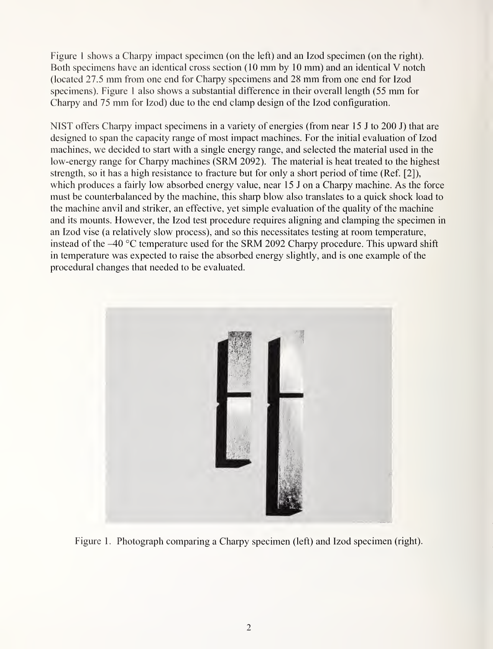Figure <sup>1</sup> shows a Charpy impact specimen (on the left) and an Izod specimen (on the right). Both specimens have an identical cross section (10 mm by <sup>10</sup> mm) and an identical V notch (located 27.5 mm from one end for Charpy specimens and <sup>28</sup> mm from one end for Izod specimens). Figure <sup>1</sup> also shows <sup>a</sup> substantial difference in their overall length (55 mm for Charpy and <sup>75</sup> mm for Izod) due to the end clamp design of the Izod configuration.

NIST offers Charpy impact specimens in a variety of energies (from near <sup>15</sup> <sup>J</sup> to 200 J) that are designed to span the capacity range of most impact machines. For the initial evaluation of Izod machines, we decided to start with a single energy range, and selected the material used in the low-energy range for Charpy machines (SRM 2092). The material is heat treated to the highest strength, so it has a high resistance to fracture but for only a short period of time (Ref. [2]), which produces a fairly low absorbed energy value, near 15 J on a Charpy machine. As the force must be counterbalanced by the machine, this sharp blow also translates to a quick shock load to the machine anvil and striker, an effective, yet simple evaluation of the quality of the machine and its mounts. However, the Izod test procedure requires aligning and clamping the specimen in an Izod vise (a relatively slow process), and so this necessitates testing at room temperature, instead of the  $-40^{\circ}$ C temperature used for the SRM 2092 Charpy procedure. This upward shift in temperature was expected to raise the absorbed energy slightly, and is one example of the procedural changes that needed to be evaluated.



Figure 1. Photograph comparing a Charpy specimen (left) and Izod specimen (right).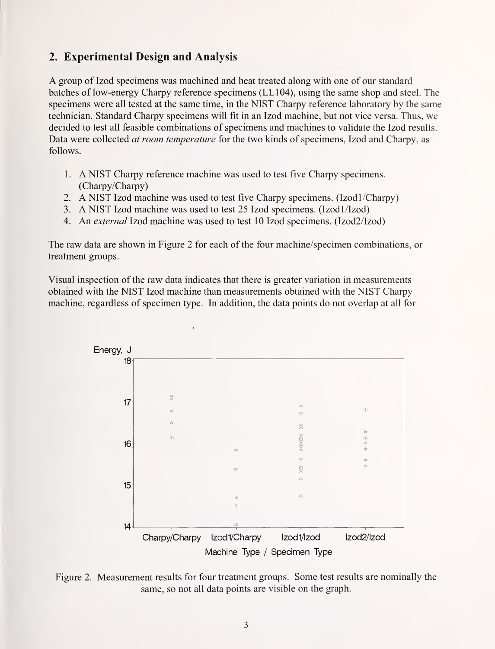# 2. Experimental Design and Analysis

A group of Izod specimens was machined and heat treated along with one of our standard batches of low-energy Charpy reference specimens (LL104), using the same shop and steel. The specimens were all tested at the same time, in the NIST Charpy reference laboratory by the same technician. Standard Charpy specimens will fit in an Izod machine, but not vice versa. Thus, we decided to test all feasible combinations of specimens and machines to validate the Izod results. Data were collected *at room temperature* for the two kinds of specimens, Izod and Charpy, as follows.

- <sup>1</sup> . A NIST Charpy reference machine was used to test five Charpy specimens. (Charpy/Charpy)
- 2. A NIST Izod machine was used to test five Charpy specimens. (Izod 1/Charpy)
- 3. A NIST Izod machine was used to test 25 Izod specimens. (Izod1/Izod)
- 4. An external Izod machine was used to test <sup>10</sup> Izod specimens. (Izod2/Izod)

The raw data are shown in Figure 2 for each of the four machine/specimen combinations, or treatment groups.

Visual inspection of the raw data indicates that there is greater variation in measurements obtained with the NIST Izod machine than measurements obtained with the NIST Charpy machine, regardless of specimen type. In addition, the data points do not overlap at all for



Figure 2. Measurement results for four treatment groups. Some test results are nominally the same, so not all data points are visible on the graph.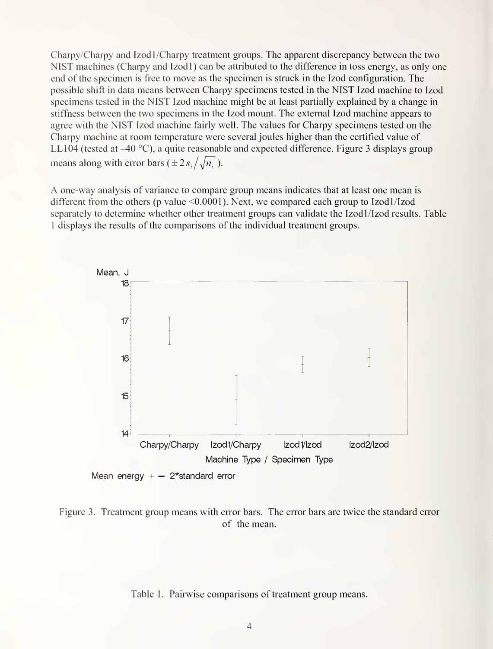Charpy/Charpy and Izodl/Charpy treatment groups. The apparent discrepancy between the two NIST machines (Charpy and Izodl) can be attributed to the difference in toss energy, as only one end of the specimen is free to move as the specimen is struck in the Izod configuration. The possible shift in data means between Charpy specimens tested in the NIST Izod machine to Izod specimens tested in the NIST Izod machine might be at least partially explained by a change in stiffness between the two specimens in the Izod mount. The external Izod machine appears to agree with the NIST Izod machine fairly well. The values for Charpy specimens tested on the Charpy machine at room temperature were several joules higher than the certified value of LL104 (tested at  $-40$  °C), a quite reasonable and expected difference. Figure 3 displays group means along with error bars ( $\pm 2s/\sqrt{n}$ ).

A one-way analysis of variance to compare group means indicates that at least one mean is different from the others (p value  $\leq 0.0001$ ). Next, we compared each group to Izodl/Izod separately to determine whether other treatment groups can validate the Izodl /Izod results. Table <sup>1</sup> displays the results of the comparisons of the individual treatment groups.



Figure 3. Treatment group means with error bars. The error bars are twice the standard error of the mean.

Table 1. Pairwise comparisons of treatment group means.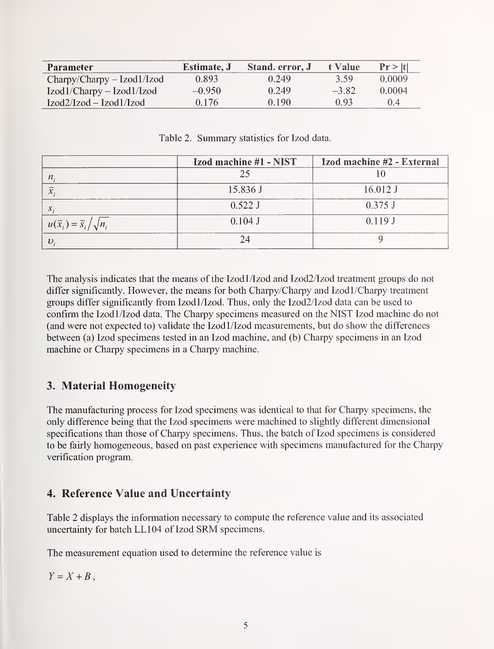| Parameter                   | <b>Estimate</b> , <b>J</b> | Stand. error, J | t Value | Pr >  t |
|-----------------------------|----------------------------|-----------------|---------|---------|
| $Chary/Chary-Izod1/Izod$    | 0.893                      | 0.249           | 3.59    | 0.0009  |
| $Izod1/Charpy - Izod1/Izod$ | $-0.950$                   | 0.249           | $-3.82$ | 0.0004  |
| $Izod2/Izod-Izod1/Izod$     | 0.176                      | 0.190           | 0.93    | 0.4     |

Table 2. Summary statistics for Izod data.

|                                         | Izod machine #1 - NIST | Izod machine #2 - External |
|-----------------------------------------|------------------------|----------------------------|
| $\boldsymbol{n}$                        |                        |                            |
|                                         | 15.836 J               | $16.012$ J                 |
|                                         | 0.522 J                | $0.375$ J                  |
| $u(\bar{x}_i) = \bar{s}_i / \sqrt{n_i}$ | $0.104$ J              | 0.119J                     |
|                                         |                        |                            |

The analysis indicates that the means of the Izod1/Izod and Izod2/Izod treatment groups do not differ significantly. However, the means for both Charpy/Charpy and Izodl/Charpy treatment groups differ significantly from Izodl/Izod. Thus, only the Izod2/Izod data can be used to confirm the Izodl/Izod data. The Charpy specimens measured on the NIST Izod machine do not (and were not expected to) validate the Izodl/Izod measurements, but do show the differences between (a) Izod specimens tested in an Izod machine, and (b) Charpy specimens in an Izod machine or Charpy specimens in a Charpy machine.

# 3. Material Homogeneity

The manufacturing process for Izod specimens was identical to that for Charpy specimens, the only difference being that the Izod specimens were machined to slightly different dimensional specifications than those of Charpy specimens. Thus, the batch of Izod specimens is considered to be fairly homogeneous, based on past experience with specimens manufactured for the Charpy verification program.

# 4. Reference Value and Uncertainty

Table 2 displays the information necessary to compute the reference value and its associated uncertainty for batch LL104 of Izod SRM specimens.

The measurement equation used to determine the reference value is

 $Y = X + B$ .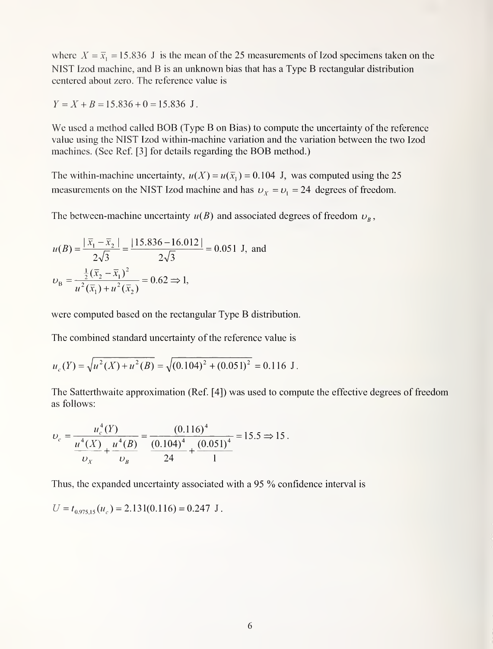where  $X = \overline{x}_1 = 15.836$  J is the mean of the 25 measurements of Izod specimens taken on the NIST Izod machine, and B is an unknown bias that has <sup>a</sup> Type B rectangular distribution centered about zero. The reference value is

 $Y = X + B = 15.836 + 0 = 15.836$  J.

We used <sup>a</sup> method called BOB (Type B on Bias) to compute the uncertainty of the reference value using the NIST Izod within-machine variation and the variation between the two Izod machines. (See Ref. [3] for details regarding the BOB method.)

The within-machine uncertainty,  $u(X) = u(\bar{x}_1) = 0.104$  J, was computed using the 25 measurements on the NIST Izod machine and has  $v_x = v_1 = 24$  degrees of freedom.

The between-machine uncertainty  $u(B)$  and associated degrees of freedom  $v_B$ ,

$$
u(B) = \frac{|\bar{x}_1 - \bar{x}_2|}{2\sqrt{3}} = \frac{|15.836 - 16.012|}{2\sqrt{3}} = 0.051 \text{ J, and}
$$
  

$$
\upsilon_B = \frac{\frac{1}{2}(\bar{x}_2 - \bar{x}_1)^2}{u^2(\bar{x}_1) + u^2(\bar{x}_2)} = 0.62 \Rightarrow 1,
$$

were computed based on the rectangular Type B distribution.

The combined standard uncertainty of the reference value is

$$
u_c(Y) = \sqrt{u^2(X) + u^2(B)} = \sqrt{(0.104)^2 + (0.051)^2} = 0.116 \text{ J}.
$$

The Satterthwaite approximation (Ref. [4]) was used to compute the effective degrees of freedom as follows:

$$
\upsilon_c = \frac{u_c^4(Y)}{\frac{u^4(X)}{v_x} + \frac{u^4(B)}{v_B}} = \frac{(0.116)^4}{\frac{(0.104)^4}{24} + \frac{(0.051)^4}{1}} = 15.5 \Rightarrow 15.
$$

Thus, the expanded uncertainty associated with <sup>a</sup> <sup>95</sup> % confidence interval is

$$
U = t_{0.975,15}(u_c) = 2.131(0.116) = 0.247
$$
 J.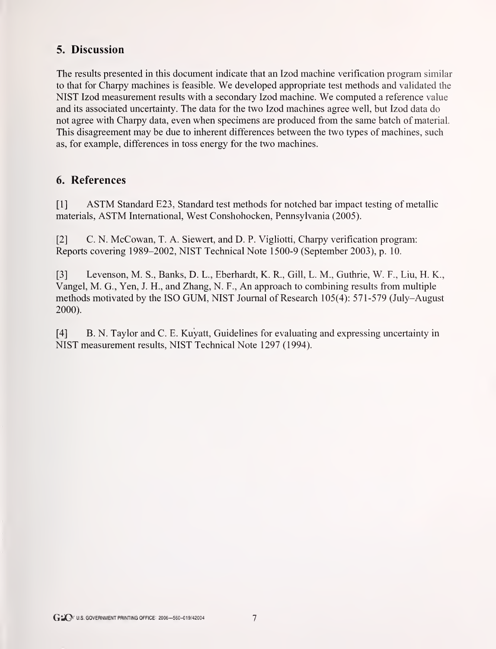# 5. Discussion

The results presented in this document indicate that an Izod machine verification program similar to that for Charpy machines is feasible. We developed appropriate test methods and validated the NIST Izod measurement results with <sup>a</sup> secondary Izod machine. We computed <sup>a</sup> reference value and its associated uncertainty. The data for the two Izod machines agree well, but Izod data do not agree with Charpy data, even when specimens are produced from the same batch of material. This disagreement may be due to inherent differences between the two types of machines, such as, for example, differences in toss energy for the two machines.

# 6. References

[1] ASTM Standard E23, Standard test methods for notched bar impact testing of metallic materials, ASTM International, West Conshohocken, Pennsylvania (2005).

[2] C. N. McCowan, T. A. Siewert, and D. P. Vigliotti, Charpy verification program: Reports covering 1989-2002, NIST Technical Note 1500-9 (September 2003), p. 10.

[3] Levenson, M. S., Banks, D. L., Eberhardt, K. R., Gill, L. M, Guthrie, W. F., Liu, H. K., Vangel, M. G., Yen, J. H., and Zhang, N. F., An approach to combining results from multiple methods motivated by the ISO GUM, NIST Journal of Research 105(4): 571-579 (July-August 2000).

[4] B. N. Taylor and C. E. Kuyatt, Guidelines for evaluating and expressing uncertainty in NIST measurement results, NIST Technical Note 1297 (1994).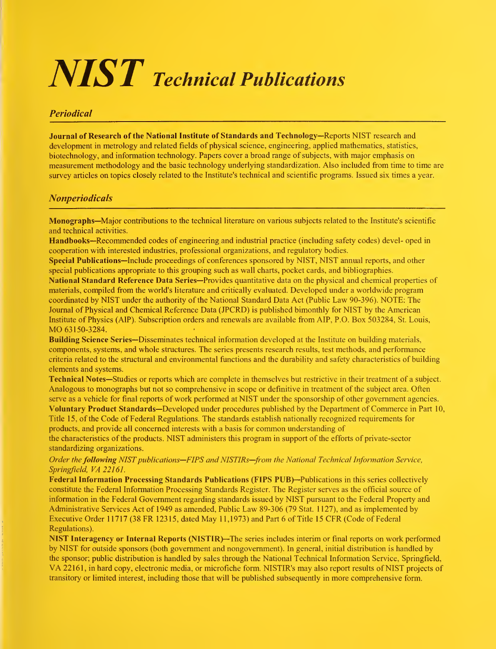# $\boldsymbol{N}\boldsymbol{S}\boldsymbol{T}$  Technical Publications

### Periodical

Journal of Research of the National Institute of Standards and Technology—Reports NIST research and development in metrology and related fields of physical science, engineering, applied mathematics, statistics, biotechnology, and information technology. Papers cover a broad range of subjects, with major emphasis on measurement methodology and the basic technology underlying standardization. Also included from time to time are survey articles on topics closely related to the Institute's technical and scientific programs. Issued six times a year.

### Nonperiodicals

Monographs—Major contributions to the technical literature on various subjects related to the Institute's scientific and technical activities.

Handbooks—Recommended codes of engineering and industrial practice (including safety codes) devel- oped in cooperation with interested industries, professional organizations, and regulatory bodies.

Special Publications—Include proceedings of conferences sponsored by NIST, NIST annual reports, and other special publications appropriate to this grouping such as wall charts, pocket cards, and bibliographies.

National Standard Reference Data Series—Provides quantitative data on the physical and chemical properties of materials, compiled from the world's literature and critically evaluated. Developed under a worldwide program coordinated by NIST under the authority of the National Standard Data Act (Public Law 90-396). NOTE: The Journal of Physical and Chemical Reference Data (JPCRD) is published bimonthly for NIST by the American Institute of Physics (A1P). Subscription orders and renewals are available from AIP, P.O. Box 503284, St. Louis, MO 63150-3284.

Building Science Series—Disseminates technical information developed at the Institute on building materials, components, systems, and whole structures. The series presents research results, test methods, and performance criteria related to the structural and environmental functions and the durability and safety characteristics of building elements and systems.

Technical Notes—Studies or reports which are complete in themselves but restrictive in their treatment of a subject. Analogous to monographs but not so comprehensive in scope or definitive in treatment of the subject area. Often serve as a vehicle for final reports of work performed at NIST under the sponsorship of other government agencies. Voluntary Product Standards—Developed under procedures published by the Department of Commerce in Part 10, Title 15, of the Code of Federal Regulations. The standards establish nationally recognized requirements for products, and provide all concerned interests with <sup>a</sup> basis for common understanding of

the characteristics of the products. NIST administers this program in support of the efforts of private-sector standardizing organizations.

Order the following NIST publications—FIPS and NISTIRs—from the National Technical Information Service, Springfield, VA 22161.

Federal Information Processing Standards Publications (FIPS PUB)—Publications in this series collectively constitute the Federal Information Processing Standards Register. The Register serves as the official source of information in the Federal Government regarding standards issued by NIST pursuant to the Federal Property and Administrative Services Act of 1949 as amended. Public Law 89-306 (79 Stat. <sup>1</sup> 127), and as implemented by Executive Order 11717 (38 FR 12315, dated May <sup>1</sup> 1,1973) and Part <sup>6</sup> of Title <sup>15</sup> CFR (Code of Federal Regulations).

NIST Interagency or Internal Reports (NISTIR)—The series includes interim or final reports on work performed by NIST for outside sponsors (both government and nongovernment). In general, initial distribution is handled by the sponsor; public distribution is handled by sales through the National Technical Information Service, Springfield, VA 22161, in hard copy, electronic media, or microfiche form. NISTIR's may also report results of NIST projects of transitory or limited interest, including those that will be published subsequently in more comprehensive form.